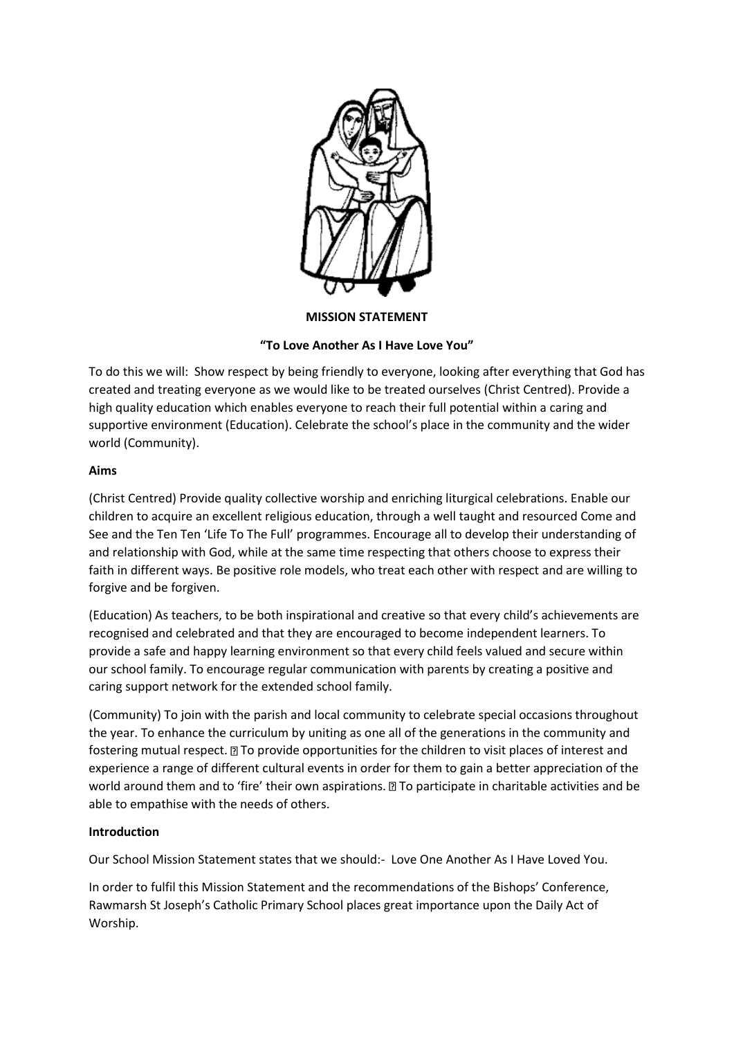

### **MISSION STATEMENT**

# **"To Love Another As I Have Love You"**

To do this we will: Show respect by being friendly to everyone, looking after everything that God has created and treating everyone as we would like to be treated ourselves (Christ Centred). Provide a high quality education which enables everyone to reach their full potential within a caring and supportive environment (Education). Celebrate the school's place in the community and the wider world (Community).

# **Aims**

(Christ Centred) Provide quality collective worship and enriching liturgical celebrations. Enable our children to acquire an excellent religious education, through a well taught and resourced Come and See and the Ten Ten 'Life To The Full' programmes. Encourage all to develop their understanding of and relationship with God, while at the same time respecting that others choose to express their faith in different ways. Be positive role models, who treat each other with respect and are willing to forgive and be forgiven.

(Education) As teachers, to be both inspirational and creative so that every child's achievements are recognised and celebrated and that they are encouraged to become independent learners. To provide a safe and happy learning environment so that every child feels valued and secure within our school family. To encourage regular communication with parents by creating a positive and caring support network for the extended school family.

(Community) To join with the parish and local community to celebrate special occasions throughout the year. To enhance the curriculum by uniting as one all of the generations in the community and fostering mutual respect.  $\mathbb D$  To provide opportunities for the children to visit places of interest and experience a range of different cultural events in order for them to gain a better appreciation of the world around them and to 'fire' their own aspirations.  $\mathbb D$  To participate in charitable activities and be able to empathise with the needs of others.

# **Introduction**

Our School Mission Statement states that we should:- Love One Another As I Have Loved You.

In order to fulfil this Mission Statement and the recommendations of the Bishops' Conference, Rawmarsh St Joseph's Catholic Primary School places great importance upon the Daily Act of Worship.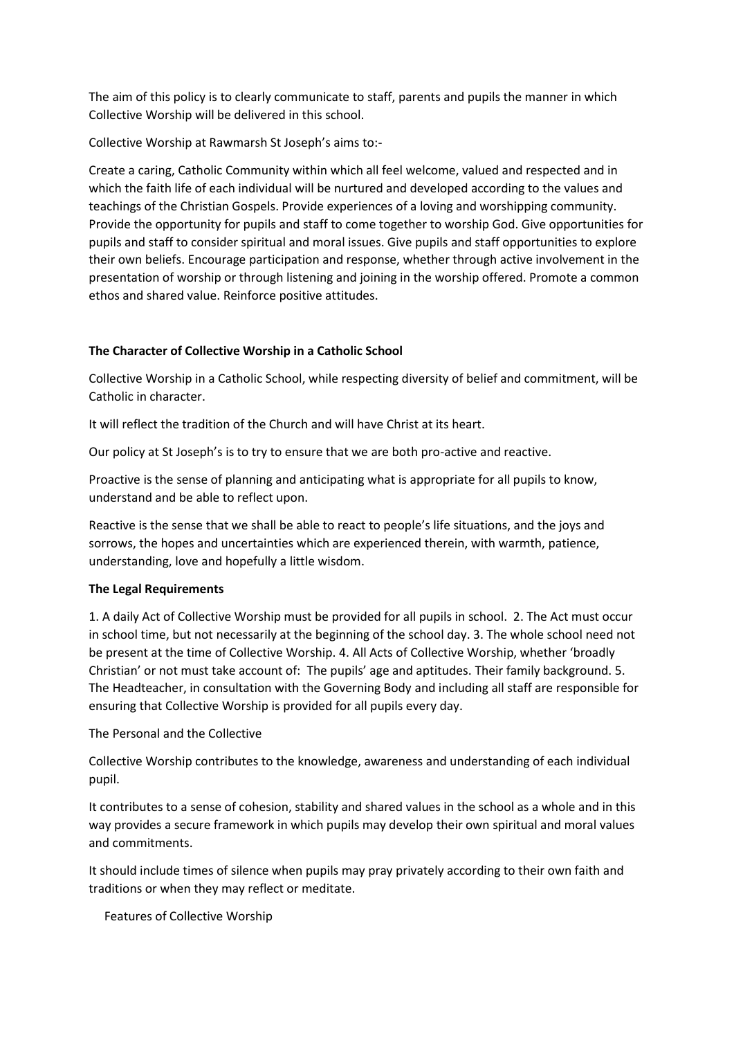The aim of this policy is to clearly communicate to staff, parents and pupils the manner in which Collective Worship will be delivered in this school.

Collective Worship at Rawmarsh St Joseph's aims to:-

Create a caring, Catholic Community within which all feel welcome, valued and respected and in which the faith life of each individual will be nurtured and developed according to the values and teachings of the Christian Gospels. Provide experiences of a loving and worshipping community. Provide the opportunity for pupils and staff to come together to worship God. Give opportunities for pupils and staff to consider spiritual and moral issues. Give pupils and staff opportunities to explore their own beliefs. Encourage participation and response, whether through active involvement in the presentation of worship or through listening and joining in the worship offered. Promote a common ethos and shared value. Reinforce positive attitudes.

## **The Character of Collective Worship in a Catholic School**

Collective Worship in a Catholic School, while respecting diversity of belief and commitment, will be Catholic in character.

It will reflect the tradition of the Church and will have Christ at its heart.

Our policy at St Joseph's is to try to ensure that we are both pro-active and reactive.

Proactive is the sense of planning and anticipating what is appropriate for all pupils to know, understand and be able to reflect upon.

Reactive is the sense that we shall be able to react to people's life situations, and the joys and sorrows, the hopes and uncertainties which are experienced therein, with warmth, patience, understanding, love and hopefully a little wisdom.

### **The Legal Requirements**

1. A daily Act of Collective Worship must be provided for all pupils in school. 2. The Act must occur in school time, but not necessarily at the beginning of the school day. 3. The whole school need not be present at the time of Collective Worship. 4. All Acts of Collective Worship, whether 'broadly Christian' or not must take account of: The pupils' age and aptitudes. Their family background. 5. The Headteacher, in consultation with the Governing Body and including all staff are responsible for ensuring that Collective Worship is provided for all pupils every day.

The Personal and the Collective

Collective Worship contributes to the knowledge, awareness and understanding of each individual pupil.

It contributes to a sense of cohesion, stability and shared values in the school as a whole and in this way provides a secure framework in which pupils may develop their own spiritual and moral values and commitments.

It should include times of silence when pupils may pray privately according to their own faith and traditions or when they may reflect or meditate.

Features of Collective Worship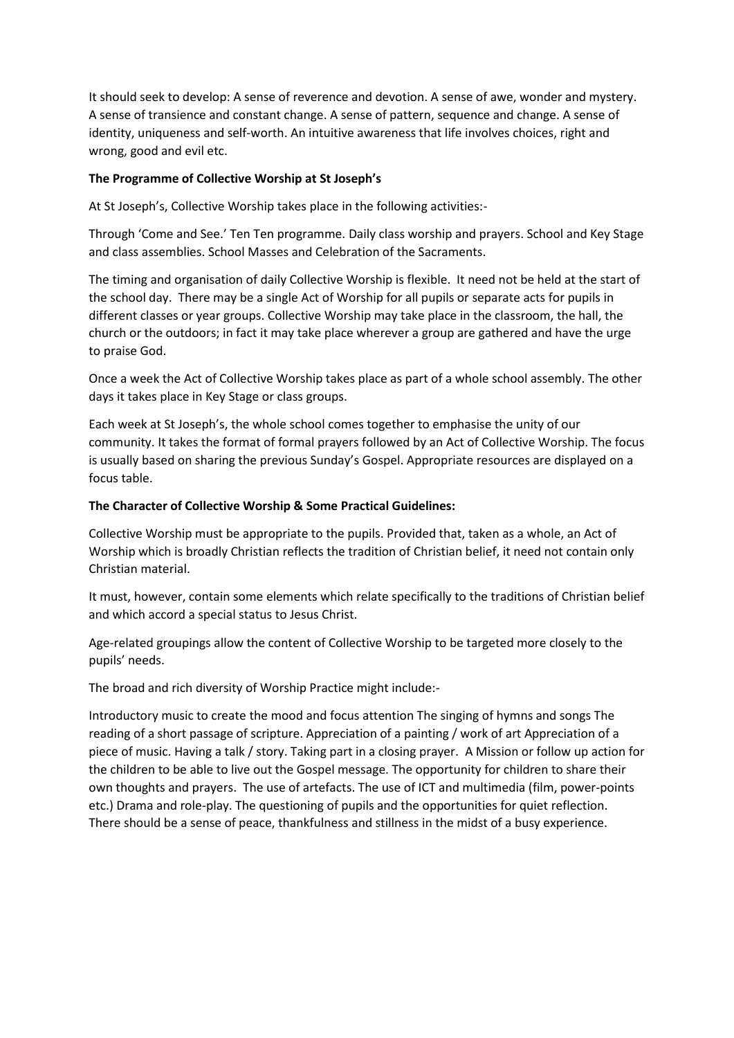It should seek to develop: A sense of reverence and devotion. A sense of awe, wonder and mystery. A sense of transience and constant change. A sense of pattern, sequence and change. A sense of identity, uniqueness and self-worth. An intuitive awareness that life involves choices, right and wrong, good and evil etc.

## **The Programme of Collective Worship at St Joseph's**

At St Joseph's, Collective Worship takes place in the following activities:-

Through 'Come and See.' Ten Ten programme. Daily class worship and prayers. School and Key Stage and class assemblies. School Masses and Celebration of the Sacraments.

The timing and organisation of daily Collective Worship is flexible. It need not be held at the start of the school day. There may be a single Act of Worship for all pupils or separate acts for pupils in different classes or year groups. Collective Worship may take place in the classroom, the hall, the church or the outdoors; in fact it may take place wherever a group are gathered and have the urge to praise God.

Once a week the Act of Collective Worship takes place as part of a whole school assembly. The other days it takes place in Key Stage or class groups.

Each week at St Joseph's, the whole school comes together to emphasise the unity of our community. It takes the format of formal prayers followed by an Act of Collective Worship. The focus is usually based on sharing the previous Sunday's Gospel. Appropriate resources are displayed on a focus table.

## **The Character of Collective Worship & Some Practical Guidelines:**

Collective Worship must be appropriate to the pupils. Provided that, taken as a whole, an Act of Worship which is broadly Christian reflects the tradition of Christian belief, it need not contain only Christian material.

It must, however, contain some elements which relate specifically to the traditions of Christian belief and which accord a special status to Jesus Christ.

Age-related groupings allow the content of Collective Worship to be targeted more closely to the pupils' needs.

The broad and rich diversity of Worship Practice might include:-

Introductory music to create the mood and focus attention The singing of hymns and songs The reading of a short passage of scripture. Appreciation of a painting / work of art Appreciation of a piece of music. Having a talk / story. Taking part in a closing prayer. A Mission or follow up action for the children to be able to live out the Gospel message. The opportunity for children to share their own thoughts and prayers. The use of artefacts. The use of ICT and multimedia (film, power-points etc.) Drama and role-play. The questioning of pupils and the opportunities for quiet reflection. There should be a sense of peace, thankfulness and stillness in the midst of a busy experience.